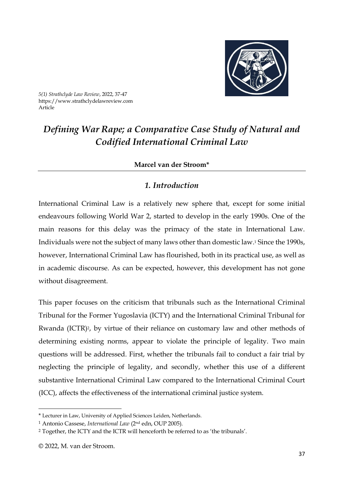

*5(1) Strathclyde Law Review*, 2022, 37-47 https://www.strathclydelawreview.com Article

# *Defining War Rape; a Comparative Case Study of Natural and Codified International Criminal Law*

#### **Marcel van der Stroom\***

# *1. Introduction*

International Criminal Law is a relatively new sphere that, except for some initial endeavours following World War 2, started to develop in the early 1990s. One of the main reasons for this delay was the primacy of the state in International Law. Individuals were not the subject of many laws other than domestic law.<sup>1</sup> Since the 1990s, however, International Criminal Law has flourished, both in its practical use, as well as in academic discourse. As can be expected, however, this development has not gone without disagreement.

This paper focuses on the criticism that tribunals such as the International Criminal Tribunal for the Former Yugoslavia (ICTY) and the International Criminal Tribunal for Rwanda (ICTR)<sup>2</sup>, by virtue of their reliance on customary law and other methods of determining existing norms, appear to violate the principle of legality. Two main questions will be addressed. First, whether the tribunals fail to conduct a fair trial by neglecting the principle of legality, and secondly, whether this use of a different substantive International Criminal Law compared to the International Criminal Court (ICC), affects the effectiveness of the international criminal justice system.

<sup>\*</sup> Lecturer in Law, University of Applied Sciences Leiden, Netherlands.

<sup>1</sup> Antonio Cassese, *International Law* (2nd edn, OUP 2005).

<sup>2</sup> Together, the ICTY and the ICTR will henceforth be referred to as 'the tribunals'.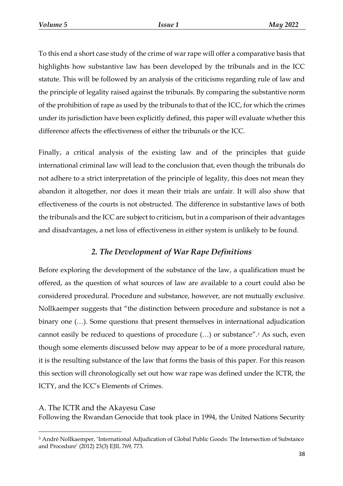To this end a short case study of the crime of war rape will offer a comparative basis that highlights how substantive law has been developed by the tribunals and in the ICC statute. This will be followed by an analysis of the criticisms regarding rule of law and the principle of legality raised against the tribunals. By comparing the substantive norm of the prohibition of rape as used by the tribunals to that of the ICC, for which the crimes under its jurisdiction have been explicitly defined, this paper will evaluate whether this difference affects the effectiveness of either the tribunals or the ICC.

Finally, a critical analysis of the existing law and of the principles that guide international criminal law will lead to the conclusion that, even though the tribunals do not adhere to a strict interpretation of the principle of legality, this does not mean they abandon it altogether, nor does it mean their trials are unfair. It will also show that effectiveness of the courts is not obstructed. The difference in substantive laws of both the tribunals and the ICC are subject to criticism, but in a comparison of their advantages and disadvantages, a net loss of effectiveness in either system is unlikely to be found.

## *2. The Development of War Rape Definitions*

Before exploring the development of the substance of the law, a qualification must be offered, as the question of what sources of law are available to a court could also be considered procedural. Procedure and substance, however, are not mutually exclusive. Nollkaemper suggests that "the distinction between procedure and substance is not a binary one (…). Some questions that present themselves in international adjudication cannot easily be reduced to questions of procedure (…) or substance".<sup>3</sup> As such, even though some elements discussed below may appear to be of a more procedural nature, it is the resulting substance of the law that forms the basis of this paper. For this reason this section will chronologically set out how war rape was defined under the ICTR, the ICTY, and the ICC's Elements of Crimes.

#### A. The ICTR and the Akayesu Case

 $\overline{a}$ 

Following the Rwandan Genocide that took place in 1994, the United Nations Security

<sup>3</sup> André Nollkaemper, 'International Adjudication of Global Public Goods: The Intersection of Substance and Procedure' (2012) 23(3) EJIL 769, 773.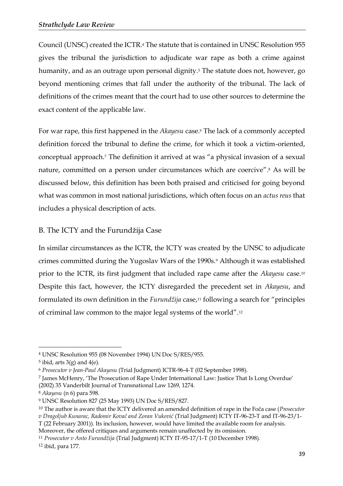Council (UNSC) created the ICTR.<sup>4</sup> The statute that is contained in UNSC Resolution 955 gives the tribunal the jurisdiction to adjudicate war rape as both a crime against humanity, and as an outrage upon personal dignity.<sup>5</sup> The statute does not, however, go beyond mentioning crimes that fall under the authority of the tribunal. The lack of definitions of the crimes meant that the court had to use other sources to determine the exact content of the applicable law.

For war rape, this first happened in the *Akayesu* case.<sup>6</sup> The lack of a commonly accepted definition forced the tribunal to define the crime, for which it took a victim-oriented, conceptual approach.<sup>7</sup> The definition it arrived at was "a physical invasion of a sexual nature, committed on a person under circumstances which are coercive". <sup>8</sup> As will be discussed below, this definition has been both praised and criticised for going beyond what was common in most national jurisdictions, which often focus on an *actus reus* that includes a physical description of acts.

#### B. The ICTY and the Furundžija Case

In similar circumstances as the ICTR, the ICTY was created by the UNSC to adjudicate crimes committed during the Yugoslav Wars of the 1990s.<sup>9</sup> Although it was established prior to the ICTR, its first judgment that included rape came after the *Akayesu* case.<sup>10</sup> Despite this fact, however, the ICTY disregarded the precedent set in *Akayesu*, and formulated its own definition in the *Furundžija* case, <sup>11</sup> following a search for "principles of criminal law common to the major legal systems of the world".<sup>12</sup>

 $\overline{a}$ 

<sup>7</sup> James McHenry, 'The Prosecution of Rape Under International Law: Justice That Is Long Overdue' (2002) 35 Vanderbilt Journal of Transnational Law 1269, 1274.

<sup>4</sup> UNSC Resolution 955 (08 November 1994) UN Doc S/RES/955.

 $5$  ibid, arts  $3(g)$  and  $4(e)$ .

<sup>6</sup> *Prosecutor v Jean-Paul Akayesu* (Trial Judgment) ICTR-96-4-T (02 September 1998).

<sup>8</sup> *Akayesu* (n 6) para 598.

<sup>9</sup> UNSC Resolution 827 (25 May 1993) UN Doc S/RES/827.

<sup>10</sup> The author is aware that the ICTY delivered an amended definition of rape in the Foča case (*Prosecutor v Dragoljub Kunarac, Radomir Kovač and Zoran Vuković* (Trial Judgment) ICTY IT-96-23-T and IT-96-23/1- T (22 February 2001)). Its inclusion, however, would have limited the available room for analysis. Moreover, the offered critiques and arguments remain unaffected by its omission.

<sup>11</sup> *Prosecutor v Anto Furundžija* (Trial Judgment) ICTY IT-95-17/1-T (10 December 1998).

<sup>12</sup> ibid, para 177.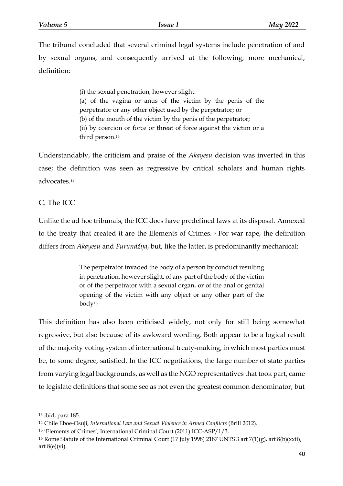The tribunal concluded that several criminal legal systems include penetration of and by sexual organs, and consequently arrived at the following, more mechanical, definition:

> (i) the sexual penetration, however slight: (a) of the vagina or anus of the victim by the penis of the perpetrator or any other object used by the perpetrator; or (b) of the mouth of the victim by the penis of the perpetrator; (ii) by coercion or force or threat of force against the victim or a third person.<sup>13</sup>

Understandably, the criticism and praise of the *Akayesu* decision was inverted in this case; the definition was seen as regressive by critical scholars and human rights advocates.<sup>14</sup>

# C. The ICC

Unlike the ad hoc tribunals, the ICC does have predefined laws at its disposal. Annexed to the treaty that created it are the Elements of Crimes.<sup>15</sup> For war rape, the definition differs from *Akayesu* and *Furundžija*, but, like the latter, is predominantly mechanical:

> The perpetrator invaded the body of a person by conduct resulting in penetration, however slight, of any part of the body of the victim or of the perpetrator with a sexual organ, or of the anal or genital opening of the victim with any object or any other part of the body<sup>16</sup>

This definition has also been criticised widely, not only for still being somewhat regressive, but also because of its awkward wording. Both appear to be a logical result of the majority voting system of international treaty-making, in which most parties must be, to some degree, satisfied. In the ICC negotiations, the large number of state parties from varying legal backgrounds, as well as the NGO representatives that took part, came to legislate definitions that some see as not even the greatest common denominator, but

<sup>13</sup> ibid, para 185.

<sup>14</sup> Chile Eboe-Osuji, *International Law and Sexual Violence in Armed Conflicts* (Brill 2012).

<sup>15</sup> 'Elements of Crimes', International Criminal Court (2011) ICC-ASP/1/3.

<sup>16</sup> Rome Statute of the International Criminal Court (17 July 1998) 2187 UNTS 3 art 7(1)(g), art 8(b)(xxii), art  $8(e)(vi)$ .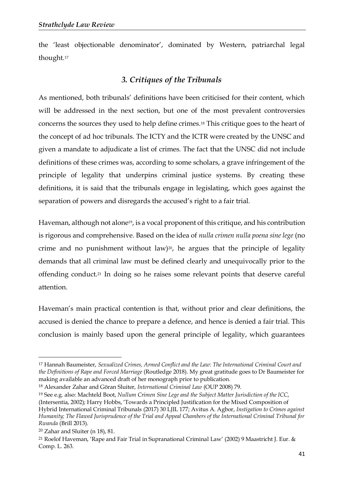the 'least objectionable denominator', dominated by Western, patriarchal legal thought.<sup>17</sup>

# *3. Critiques of the Tribunals*

As mentioned, both tribunals' definitions have been criticised for their content, which will be addressed in the next section, but one of the most prevalent controversies concerns the sources they used to help define crimes.<sup>18</sup> This critique goes to the heart of the concept of ad hoc tribunals. The ICTY and the ICTR were created by the UNSC and given a mandate to adjudicate a list of crimes. The fact that the UNSC did not include definitions of these crimes was, according to some scholars, a grave infringement of the principle of legality that underpins criminal justice systems. By creating these definitions, it is said that the tribunals engage in legislating, which goes against the separation of powers and disregards the accused's right to a fair trial.

Haveman, although not alone<sup>19</sup>, is a vocal proponent of this critique, and his contribution is rigorous and comprehensive. Based on the idea of *nulla crimen nulla poena sine lege* (no crime and no punishment without law) $20$ , he argues that the principle of legality demands that all criminal law must be defined clearly and unequivocally prior to the offending conduct.<sup>21</sup> In doing so he raises some relevant points that deserve careful attention.

Haveman's main practical contention is that, without prior and clear definitions, the accused is denied the chance to prepare a defence, and hence is denied a fair trial. This conclusion is mainly based upon the general principle of legality, which guarantees

1

<sup>17</sup> Hannah Baumeister, *Sexualized Crimes, Armed Conflict and the Law: The International Criminal Court and the Definitions of Rape and Forced Marriage* (Routledge 2018). My great gratitude goes to Dr Baumeister for making available an advanced draft of her monograph prior to publication.

<sup>18</sup> Alexander Zahar and Göran Sluiter, *International Criminal Law* (OUP 2008) 79.

<sup>19</sup> See e.g. also: Machteld Boot, *Nullum Crimen Sine Lege and the Subject Matter Jurisdiction of the ICC*, (Intersentia, 2002); Harry Hobbs, 'Towards a Principled Justification for the Mixed Composition of Hybrid International Criminal Tribunals (2017) 30 LJIL 177; Avitus A. Agbor, *Instigation to Crimes against Humanity; The Flawed Jurisprudence of the Trial and Appeal Chambers of the International Criminal Tribunal for Rwanda* (Brill 2013).

<sup>20</sup> Zahar and Sluiter (n 18), 81.

<sup>21</sup> Roelof Haveman, 'Rape and Fair Trial in Supranational Criminal Law' (2002) 9 Maastricht J. Eur. & Comp. L. 263.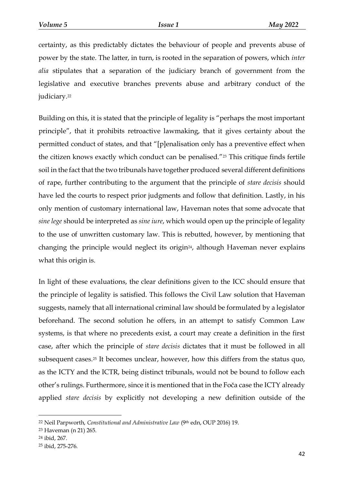certainty, as this predictably dictates the behaviour of people and prevents abuse of power by the state. The latter, in turn, is rooted in the separation of powers, which *inter alia* stipulates that a separation of the judiciary branch of government from the legislative and executive branches prevents abuse and arbitrary conduct of the judiciary.<sup>22</sup>

Building on this, it is stated that the principle of legality is "perhaps the most important principle", that it prohibits retroactive lawmaking, that it gives certainty about the permitted conduct of states, and that "[p]enalisation only has a preventive effect when the citizen knows exactly which conduct can be penalised."<sup>23</sup> This critique finds fertile soil in the fact that the two tribunals have together produced several different definitions of rape, further contributing to the argument that the principle of *stare decisis* should have led the courts to respect prior judgments and follow that definition. Lastly, in his only mention of customary international law, Haveman notes that some advocate that *sine lege* should be interpreted as *sine iure*, which would open up the principle of legality to the use of unwritten customary law. This is rebutted, however, by mentioning that changing the principle would neglect its origin24, although Haveman never explains what this origin is.

In light of these evaluations, the clear definitions given to the ICC should ensure that the principle of legality is satisfied. This follows the Civil Law solution that Haveman suggests, namely that all international criminal law should be formulated by a legislator beforehand. The second solution he offers, in an attempt to satisfy Common Law systems, is that where no precedents exist, a court may create a definition in the first case, after which the principle of *stare decisis* dictates that it must be followed in all subsequent cases.<sup>25</sup> It becomes unclear, however, how this differs from the status quo, as the ICTY and the ICTR, being distinct tribunals, would not be bound to follow each other's rulings. Furthermore, since it is mentioned that in the Foča case the ICTY already applied *stare decisis* by explicitly not developing a new definition outside of the

<sup>22</sup> Neil Parpworth, *Constitutional and Administrative Law* (9th edn, OUP 2016) 19.

<sup>23</sup> Haveman (n 21) 265.

<sup>24</sup> ibid, 267.

<sup>25</sup> ibid, 275-276.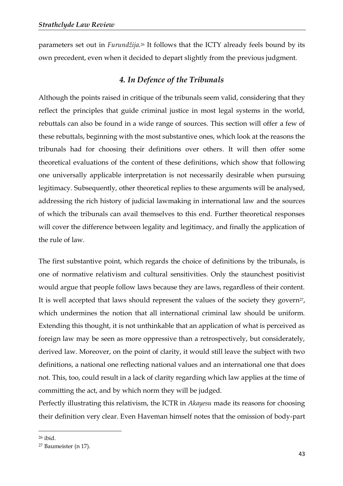parameters set out in *Furundžija.*<sup>26</sup> It follows that the ICTY already feels bound by its own precedent, even when it decided to depart slightly from the previous judgment.

### *4. In Defence of the Tribunals*

Although the points raised in critique of the tribunals seem valid, considering that they reflect the principles that guide criminal justice in most legal systems in the world, rebuttals can also be found in a wide range of sources. This section will offer a few of these rebuttals, beginning with the most substantive ones, which look at the reasons the tribunals had for choosing their definitions over others. It will then offer some theoretical evaluations of the content of these definitions, which show that following one universally applicable interpretation is not necessarily desirable when pursuing legitimacy. Subsequently, other theoretical replies to these arguments will be analysed, addressing the rich history of judicial lawmaking in international law and the sources of which the tribunals can avail themselves to this end. Further theoretical responses will cover the difference between legality and legitimacy, and finally the application of the rule of law.

The first substantive point, which regards the choice of definitions by the tribunals, is one of normative relativism and cultural sensitivities. Only the staunchest positivist would argue that people follow laws because they are laws, regardless of their content. It is well accepted that laws should represent the values of the society they govern<sup>27</sup>, which undermines the notion that all international criminal law should be uniform. Extending this thought, it is not unthinkable that an application of what is perceived as foreign law may be seen as more oppressive than a retrospectively, but considerately, derived law. Moreover, on the point of clarity, it would still leave the subject with two definitions, a national one reflecting national values and an international one that does not. This, too, could result in a lack of clarity regarding which law applies at the time of committing the act, and by which norm they will be judged.

Perfectly illustrating this relativism, the ICTR in *Akayesu* made its reasons for choosing their definition very clear. Even Haveman himself notes that the omission of body-part

<sup>26</sup> ibid.

<sup>27</sup> Baumeister (n 17).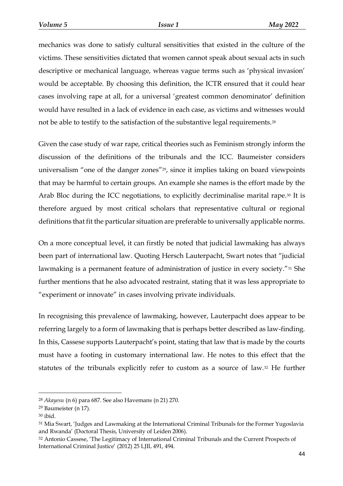mechanics was done to satisfy cultural sensitivities that existed in the culture of the victims. These sensitivities dictated that women cannot speak about sexual acts in such descriptive or mechanical language, whereas vague terms such as 'physical invasion' would be acceptable. By choosing this definition, the ICTR ensured that it could hear cases involving rape at all, for a universal 'greatest common denominator' definition would have resulted in a lack of evidence in each case, as victims and witnesses would not be able to testify to the satisfaction of the substantive legal requirements.<sup>28</sup>

Given the case study of war rape, critical theories such as Feminism strongly inform the discussion of the definitions of the tribunals and the ICC. Baumeister considers universalism "one of the danger zones"<sup>29</sup>, since it implies taking on board viewpoints that may be harmful to certain groups. An example she names is the effort made by the Arab Bloc during the ICC negotiations, to explicitly decriminalise marital rape.<sup>30</sup> It is therefore argued by most critical scholars that representative cultural or regional definitions that fit the particular situation are preferable to universally applicable norms.

On a more conceptual level, it can firstly be noted that judicial lawmaking has always been part of international law. Quoting Hersch Lauterpacht, Swart notes that "judicial lawmaking is a permanent feature of administration of justice in every society."<sup>31</sup> She further mentions that he also advocated restraint, stating that it was less appropriate to "experiment or innovate" in cases involving private individuals.

In recognising this prevalence of lawmaking, however, Lauterpacht does appear to be referring largely to a form of lawmaking that is perhaps better described as law-finding. In this, Cassese supports Lauterpacht's point, stating that law that is made by the courts must have a footing in customary international law. He notes to this effect that the statutes of the tribunals explicitly refer to custom as a source of law.<sup>32</sup> He further

<sup>28</sup> *Akayesu* (n 6) para 687. See also Havemans (n 21) 270.

<sup>29</sup> Baumeister (n 17).

<sup>30</sup> ibid.

<sup>&</sup>lt;sup>31</sup> Mia Swart, 'Judges and Lawmaking at the International Criminal Tribunals for the Former Yugoslavia and Rwanda' (Doctoral Thesis, University of Leiden 2006).

<sup>32</sup> Antonio Cassese, 'The Legitimacy of International Criminal Tribunals and the Current Prospects of International Criminal Justice' (2012) 25 LJIL 491, 494.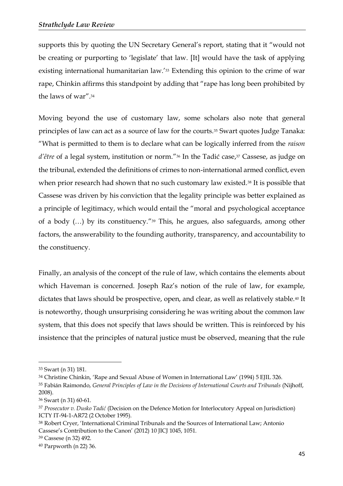supports this by quoting the UN Secretary General's report, stating that it "would not be creating or purporting to 'legislate' that law. [It] would have the task of applying existing international humanitarian law.'<sup>33</sup> Extending this opinion to the crime of war rape, Chinkin affirms this standpoint by adding that "rape has long been prohibited by the laws of war".<sup>34</sup>

Moving beyond the use of customary law, some scholars also note that general principles of law can act as a source of law for the courts.<sup>35</sup> Swart quotes Judge Tanaka: "What is permitted to them is to declare what can be logically inferred from the *raison*  d'être of a legal system, institution or norm."<sup>36</sup> In the Tadić case,<sup>37</sup> Cassese, as judge on the tribunal, extended the definitions of crimes to non-international armed conflict, even when prior research had shown that no such customary law existed.<sup>38</sup> It is possible that Cassese was driven by his conviction that the legality principle was better explained as a principle of legitimacy, which would entail the "moral and psychological acceptance of a body (…) by its constituency."<sup>39</sup> This, he argues, also safeguards, among other factors, the answerability to the founding authority, transparency, and accountability to the constituency.

Finally, an analysis of the concept of the rule of law, which contains the elements about which Haveman is concerned. Joseph Raz's notion of the rule of law, for example, dictates that laws should be prospective, open, and clear, as well as relatively stable.<sup>40</sup> It is noteworthy, though unsurprising considering he was writing about the common law system, that this does not specify that laws should be written. This is reinforced by his insistence that the principles of natural justice must be observed, meaning that the rule

<sup>33</sup> Swart (n 31) 181.

<sup>&</sup>lt;sup>34</sup> Christine Chinkin, 'Rape and Sexual Abuse of Women in International Law' (1994) 5 EIIL 326.

<sup>35</sup> Fabián Raimondo, *General Principles of Law in the Decisions of International Courts and Tribunals* (Nijhoff, 2008).

<sup>36</sup> Swart (n 31) 60-61.

<sup>37</sup> *Prosecutor v. Dusko Tadić* (Decision on the Defence Motion for Interlocutory Appeal on Jurisdiction) ICTY IT-94-1-AR72 (2 October 1995).

<sup>38</sup> Robert Cryer, 'International Criminal Tribunals and the Sources of International Law; Antonio Cassese's Contribution to the Canon' (2012) 10 JICJ 1045, 1051.

<sup>39</sup> Cassese (n 32) 492.

<sup>40</sup> Parpworth (n 22) 36.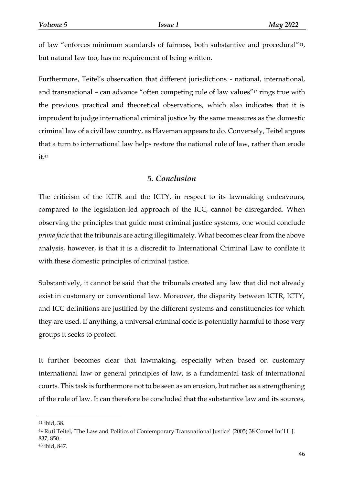of law "enforces minimum standards of fairness, both substantive and procedural"41, but natural law too, has no requirement of being written.

Furthermore, Teitel's observation that different jurisdictions - national, international, and transnational – can advance "often competing rule of law values"<sup>42</sup> rings true with the previous practical and theoretical observations, which also indicates that it is imprudent to judge international criminal justice by the same measures as the domestic criminal law of a civil law country, as Haveman appears to do. Conversely, Teitel argues that a turn to international law helps restore the national rule of law, rather than erode it.<sup>43</sup>

#### *5. Conclusion*

The criticism of the ICTR and the ICTY, in respect to its lawmaking endeavours, compared to the legislation-led approach of the ICC, cannot be disregarded. When observing the principles that guide most criminal justice systems, one would conclude *prima facie* that the tribunals are acting illegitimately. What becomes clear from the above analysis, however, is that it is a discredit to International Criminal Law to conflate it with these domestic principles of criminal justice.

Substantively, it cannot be said that the tribunals created any law that did not already exist in customary or conventional law. Moreover, the disparity between ICTR, ICTY, and ICC definitions are justified by the different systems and constituencies for which they are used. If anything, a universal criminal code is potentially harmful to those very groups it seeks to protect.

It further becomes clear that lawmaking, especially when based on customary international law or general principles of law, is a fundamental task of international courts. This task is furthermore not to be seen as an erosion, but rather as a strengthening of the rule of law. It can therefore be concluded that the substantive law and its sources,

<sup>41</sup> ibid, 38.

<sup>42</sup> Ruti Teitel, 'The Law and Politics of Contemporary Transnational Justice' (2005) 38 Cornel Int'l L.J. 837, 850.

<sup>43</sup> ibid, 847.